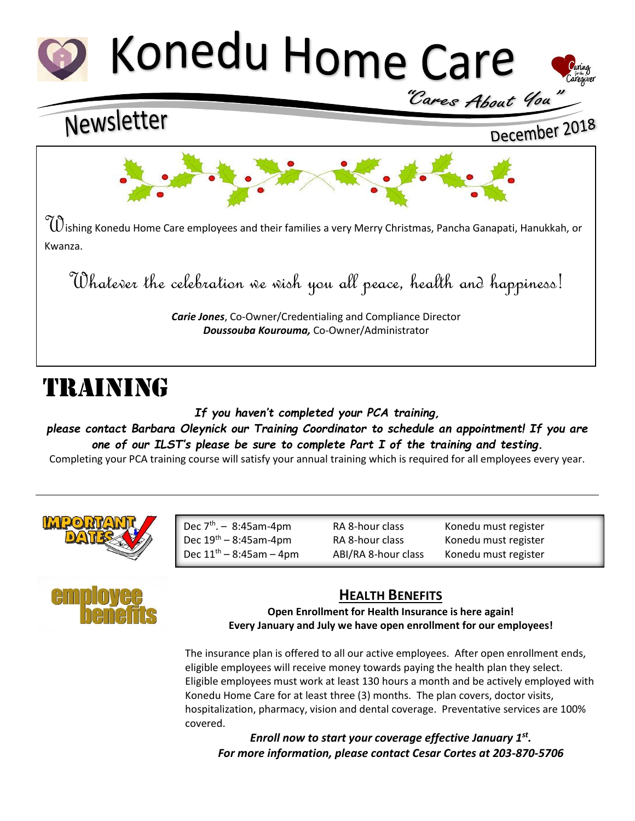

## Newsletter

## December 2018



 $\tilde{d}$ ishing Konedu Home Care employees and their families a very Merry Christmas, Pancha Ganapati, Hanukkah, or Kwanza.

Whatever the celebration we wish you all peace, health and happiness!

*Carie Jones*, Co-Owner/Credentialing and Compliance Director *Doussouba Kourouma,* Co-Owner/Administrator

# TRAINING

*If you haven't completed your PCA training,* 

*please contact Barbara Oleynick our Training Coordinator to schedule an appointment! If you are one of our ILST's please be sure to complete Part I of the training and testing.*

Completing your PCA training course will satisfy your annual training which is required for all employees every year.



| Dec $7th - 8:45am-4pm$        |
|-------------------------------|
| Dec $19^{th} - 8:45$ am-4pm   |
| Dec $11^{th} - 8:45$ am - 4pm |

RA 8-hour class Konedu must register RA 8-hour class Konedu must register ABI/RA 8-hour class Konedu must register



### **HEALTH BENEFITS**

**Open Enrollment for Health Insurance is here again! Every January and July we have open enrollment for our employees!**

The insurance plan is offered to all our active employees. After open enrollment ends, eligible employees will receive money towards paying the health plan they select. Eligible employees must work at least 130 hours a month and be actively employed with Konedu Home Care for at least three (3) months. The plan covers, doctor visits, hospitalization, pharmacy, vision and dental coverage. Preventative services are 100% covered.

*Enroll now to start your coverage effective January 1st . For more information, please contact Cesar Cortes at 203-870-5706*